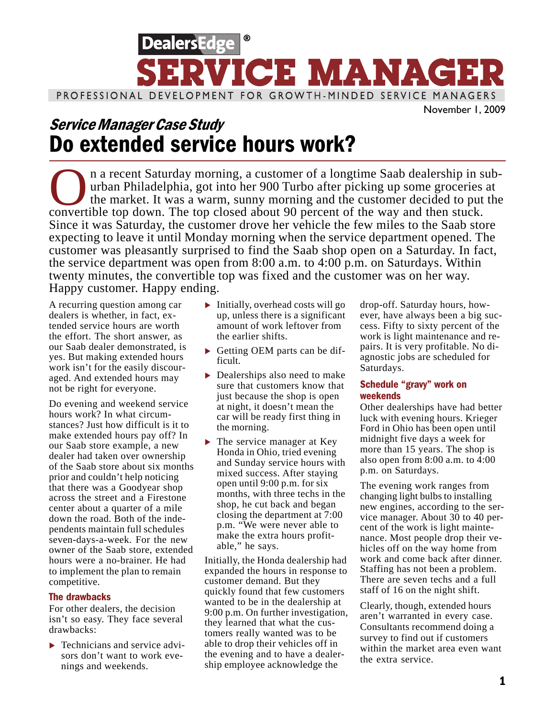

## Service Manager Case Study Do extended service hours work?

In a recent Saturday morning, a customer of a longtime Saab dealership in sub-<br>urban Philadelphia, got into her 900 Turbo after picking up some groceries at<br>the market. It was a warm, sunny morning and the customer decided urban Philadelphia, got into her 900 Turbo after picking up some groceries at the market. It was a warm, sunny morning and the customer decided to put the convertible top down. The top closed about 90 percent of the way and then stuck. Since it was Saturday, the customer drove her vehicle the few miles to the Saab store expecting to leave it until Monday morning when the service department opened. The customer was pleasantly surprised to find the Saab shop open on a Saturday. In fact, the service department was open from 8:00 a.m. to 4:00 p.m. on Saturdays. Within twenty minutes, the convertible top was fixed and the customer was on her way. Happy customer. Happy ending.

A recurring question among car dealers is whether, in fact, extended service hours are worth the effort. The short answer, as our Saab dealer demonstrated, is yes. But making extended hours work isn't for the easily discouraged. And extended hours may not be right for everyone.

Do evening and weekend service hours work? In what circumstances? Just how difficult is it to make extended hours pay off? In our Saab store example, a new dealer had taken over ownership of the Saab store about six months prior and couldn't help noticing that there was a Goodyear shop across the street and a Firestone center about a quarter of a mile down the road. Both of the independents maintain full schedules seven-days-a-week. For the new owner of the Saab store, extended hours were a no-brainer. He had to implement the plan to remain competitive.

#### The drawbacks

For other dealers, the decision isn't so easy. They face several drawbacks:

**Fechnicians and service advi**sors don't want to work evenings and weekends.

- $\blacktriangleright$  Initially, overhead costs will go up, unless there is a significant amount of work leftover from the earlier shifts.
- Getting OEM parts can be difficult.
- ▶ Dealerships also need to make sure that customers know that just because the shop is open at night, it doesn't mean the car will be ready first thing in the morning.
- $\blacktriangleright$  The service manager at Key Honda in Ohio, tried evening and Sunday service hours with mixed success. After staying open until 9:00 p.m. for six months, with three techs in the shop, he cut back and began closing the department at 7:00 p.m. "We were never able to make the extra hours profitable," he says.

Initially, the Honda dealership had expanded the hours in response to customer demand. But they quickly found that few customers wanted to be in the dealership at 9:00 p.m. On further investigation, they learned that what the customers really wanted was to be able to drop their vehicles off in the evening and to have a dealership employee acknowledge the

drop-off. Saturday hours, however, have always been a big success. Fifty to sixty percent of the work is light maintenance and repairs. It is very profitable. No diagnostic jobs are scheduled for Saturdays.

### Schedule "gravy" work on weekends

Other dealerships have had better luck with evening hours. Krieger Ford in Ohio has been open until midnight five days a week for more than 15 years. The shop is also open from 8:00 a.m. to 4:00 p.m. on Saturdays.

The evening work ranges from changing light bulbs to installing new engines, according to the service manager. About 30 to 40 percent of the work is light maintenance. Most people drop their vehicles off on the way home from work and come back after dinner. Staffing has not been a problem. There are seven techs and a full staff of 16 on the night shift.

Clearly, though, extended hours aren't warranted in every case. Consultants recommend doing a survey to find out if customers within the market area even want the extra service.